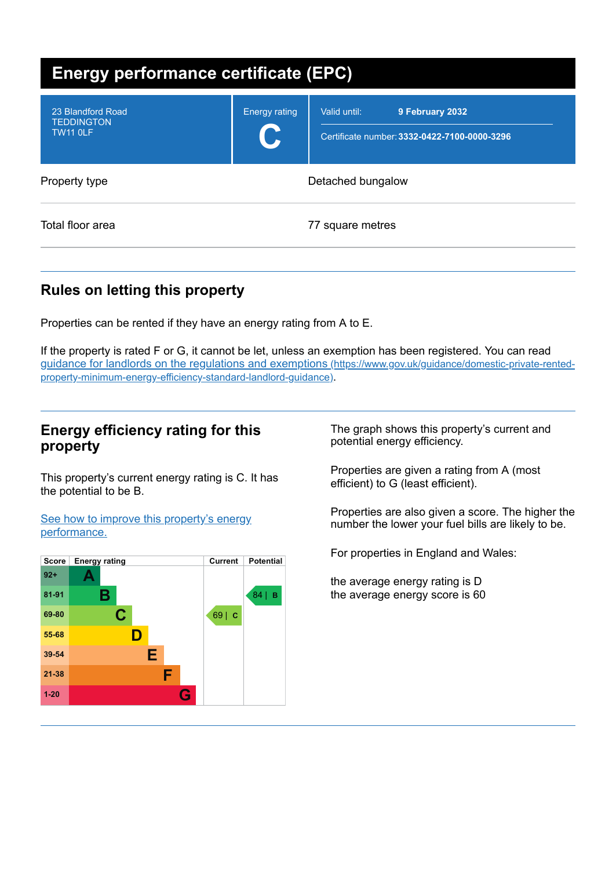| <b>Energy performance certificate (EPC)</b>               |                            |                                                                                 |
|-----------------------------------------------------------|----------------------------|---------------------------------------------------------------------------------|
| 23 Blandford Road<br><b>TEDDINGTON</b><br><b>TW11 0LF</b> | <b>Energy rating</b><br>U. | 9 February 2032<br>Valid until:<br>Certificate number: 3332-0422-7100-0000-3296 |
| Property type                                             |                            | Detached bungalow                                                               |
| Total floor area                                          |                            | 77 square metres                                                                |

# **Rules on letting this property**

Properties can be rented if they have an energy rating from A to E.

If the property is rated F or G, it cannot be let, unless an exemption has been registered. You can read guidance for landlords on the regulations and exemptions (https://www.gov.uk/guidance/domestic-private-rented[property-minimum-energy-efficiency-standard-landlord-guidance\)](https://www.gov.uk/guidance/domestic-private-rented-property-minimum-energy-efficiency-standard-landlord-guidance).

## **Energy efficiency rating for this property**

This property's current energy rating is C. It has the potential to be B.

See how to improve this property's energy [performance.](#page-2-0)



The graph shows this property's current and potential energy efficiency.

Properties are given a rating from A (most efficient) to G (least efficient).

Properties are also given a score. The higher the number the lower your fuel bills are likely to be.

For properties in England and Wales:

the average energy rating is D the average energy score is 60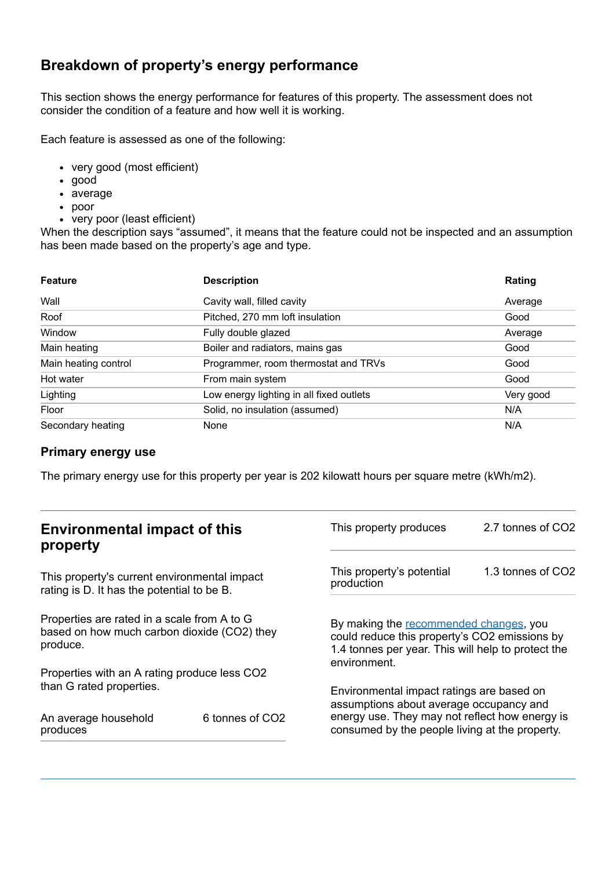# **Breakdown of property's energy performance**

This section shows the energy performance for features of this property. The assessment does not consider the condition of a feature and how well it is working.

Each feature is assessed as one of the following:

- very good (most efficient)
- good
- average
- poor
- very poor (least efficient)

When the description says "assumed", it means that the feature could not be inspected and an assumption has been made based on the property's age and type.

| <b>Feature</b>       | <b>Description</b>                       | Rating    |
|----------------------|------------------------------------------|-----------|
| Wall                 | Cavity wall, filled cavity               | Average   |
| Roof                 | Pitched, 270 mm loft insulation          | Good      |
| Window               | Fully double glazed                      | Average   |
| Main heating         | Boiler and radiators, mains gas          | Good      |
| Main heating control | Programmer, room thermostat and TRVs     | Good      |
| Hot water            | From main system                         | Good      |
| Lighting             | Low energy lighting in all fixed outlets | Very good |
| Floor                | Solid, no insulation (assumed)           | N/A       |
| Secondary heating    | None                                     | N/A       |

## **Primary energy use**

The primary energy use for this property per year is 202 kilowatt hours per square metre (kWh/m2).

| <b>Environmental impact of this</b><br>property                                                        |                 | This property produces                                                                                                                                                                   | 2.7 tonnes of CO2 |
|--------------------------------------------------------------------------------------------------------|-----------------|------------------------------------------------------------------------------------------------------------------------------------------------------------------------------------------|-------------------|
| This property's current environmental impact<br>rating is D. It has the potential to be B.             |                 | This property's potential<br>production                                                                                                                                                  | 1.3 tonnes of CO2 |
| Properties are rated in a scale from A to G<br>based on how much carbon dioxide (CO2) they<br>produce. |                 | By making the recommended changes, you<br>could reduce this property's CO2 emissions by<br>1.4 tonnes per year. This will help to protect the<br>environment.                            |                   |
| Properties with an A rating produce less CO2                                                           |                 |                                                                                                                                                                                          |                   |
| than G rated properties.<br>An average household<br>produces                                           | 6 tonnes of CO2 | Environmental impact ratings are based on<br>assumptions about average occupancy and<br>energy use. They may not reflect how energy is<br>consumed by the people living at the property. |                   |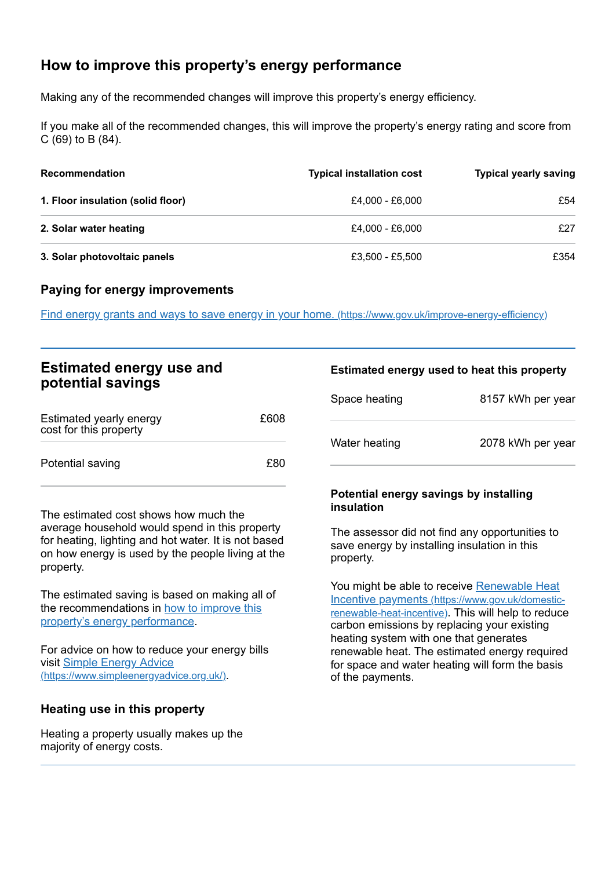# <span id="page-2-0"></span>**How to improve this property's energy performance**

Making any of the recommended changes will improve this property's energy efficiency.

If you make all of the recommended changes, this will improve the property's energy rating and score from C (69) to B (84).

| <b>Recommendation</b>             | <b>Typical installation cost</b> | <b>Typical yearly saving</b> |
|-----------------------------------|----------------------------------|------------------------------|
| 1. Floor insulation (solid floor) | £4,000 - £6,000                  | £54                          |
| 2. Solar water heating            | £4.000 - £6.000                  | £27                          |
| 3. Solar photovoltaic panels      | £3,500 - £5,500                  | £354                         |

#### **Paying for energy improvements**

Find energy grants and ways to save energy in your home. [\(https://www.gov.uk/improve-energy-efficiency\)](https://www.gov.uk/improve-energy-efficiency)

| <b>Estimated energy use and</b> |  |
|---------------------------------|--|
| potential savings               |  |

| Estimated yearly energy<br>cost for this property | £608 |
|---------------------------------------------------|------|
| Potential saving                                  | £80  |

The estimated cost shows how much the average household would spend in this property for heating, lighting and hot water. It is not based on how energy is used by the people living at the property.

The estimated saving is based on making all of the [recommendations](#page-2-0) in how to improve this property's energy performance.

For advice on how to reduce your energy bills visit Simple Energy Advice [\(https://www.simpleenergyadvice.org.uk/\)](https://www.simpleenergyadvice.org.uk/).

## **Heating use in this property**

Heating a property usually makes up the majority of energy costs.

#### **Estimated energy used to heat this property**

| Space heating | 8157 kWh per year |
|---------------|-------------------|
| Water heating | 2078 kWh per year |

#### **Potential energy savings by installing insulation**

The assessor did not find any opportunities to save energy by installing insulation in this property.

You might be able to receive Renewable Heat Incentive payments [\(https://www.gov.uk/domestic](https://www.gov.uk/domestic-renewable-heat-incentive)renewable-heat-incentive). This will help to reduce carbon emissions by replacing your existing heating system with one that generates renewable heat. The estimated energy required for space and water heating will form the basis of the payments.